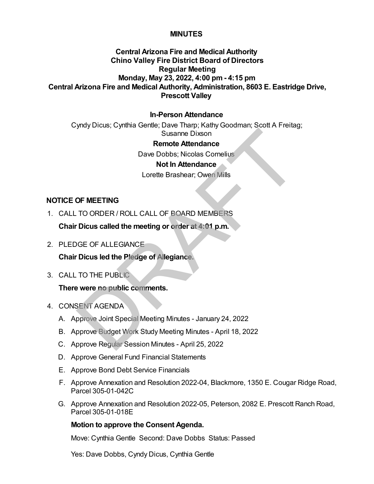## **MINUTES**

# **Central Arizona Fire and Medical Authority Chino Valley Fire District Board of Directors Regular Meeting Monday, May 23, 2022, 4:00 pm - 4:15 pm Central Arizona Fire and Medical Authority, Administration, 8603 E. Eastridge Drive, Prescott Valley**

## **In-Person Attendance**

Cyndy Dicus; Cynthia Gentle; Dave Tharp; Kathy Goodman; Scott A Freitag; Susanne Dixson Susanne Dixson<br>
Remote Attendance<br>
Dave Dobbs; Nicolas Cornelius<br>
Not In Attendance<br>
Lorette Brashear; Owen Mills<br>
DCF MEETING<br>
TO ORDER / ROLL CALL OF BOARD MEMBERS<br>
Dicus called the meeting or order at 4:01 p.m.<br>
NGE OF

#### **Remote Attendance**

Dave Dobbs; Nicolas Cornelius **Not In Attendance**

Lorette Brashear; Owen Mills

### **NOTICE OF MEETING**

1. CALL TO ORDER / ROLL CALL OF BOARD MEMBERS

**Chair Dicus called the meeting or order at 4:01 p.m.**

2. PLEDGE OF ALLEGIANCE

**Chair Dicus led the Pledge of Allegiance.**

3. CALL TO THE PUBLIC

**There were no public comments.**

- 4. CONSENT AGENDA
	- A. Approve Joint Special Meeting Minutes January 24, 2022
	- B. Approve Budget Work Study Meeting Minutes April 18, 2022
	- C. Approve Regular Session Minutes April 25, 2022
	- D. Approve General Fund Financial Statements
	- E. Approve Bond Debt Service Financials
	- F. Approve Annexation and Resolution 2022-04, Blackmore, 1350 E. Cougar Ridge Road, Parcel 305-01-042C
	- G. Approve Annexation and Resolution 2022-05, Peterson, 2082 E. Prescott Ranch Road, Parcel 305-01-018E

### **Motion to approve the Consent Agenda.**

Move: Cynthia Gentle Second: Dave Dobbs Status: Passed

Yes: Dave Dobbs, Cyndy Dicus, Cynthia Gentle